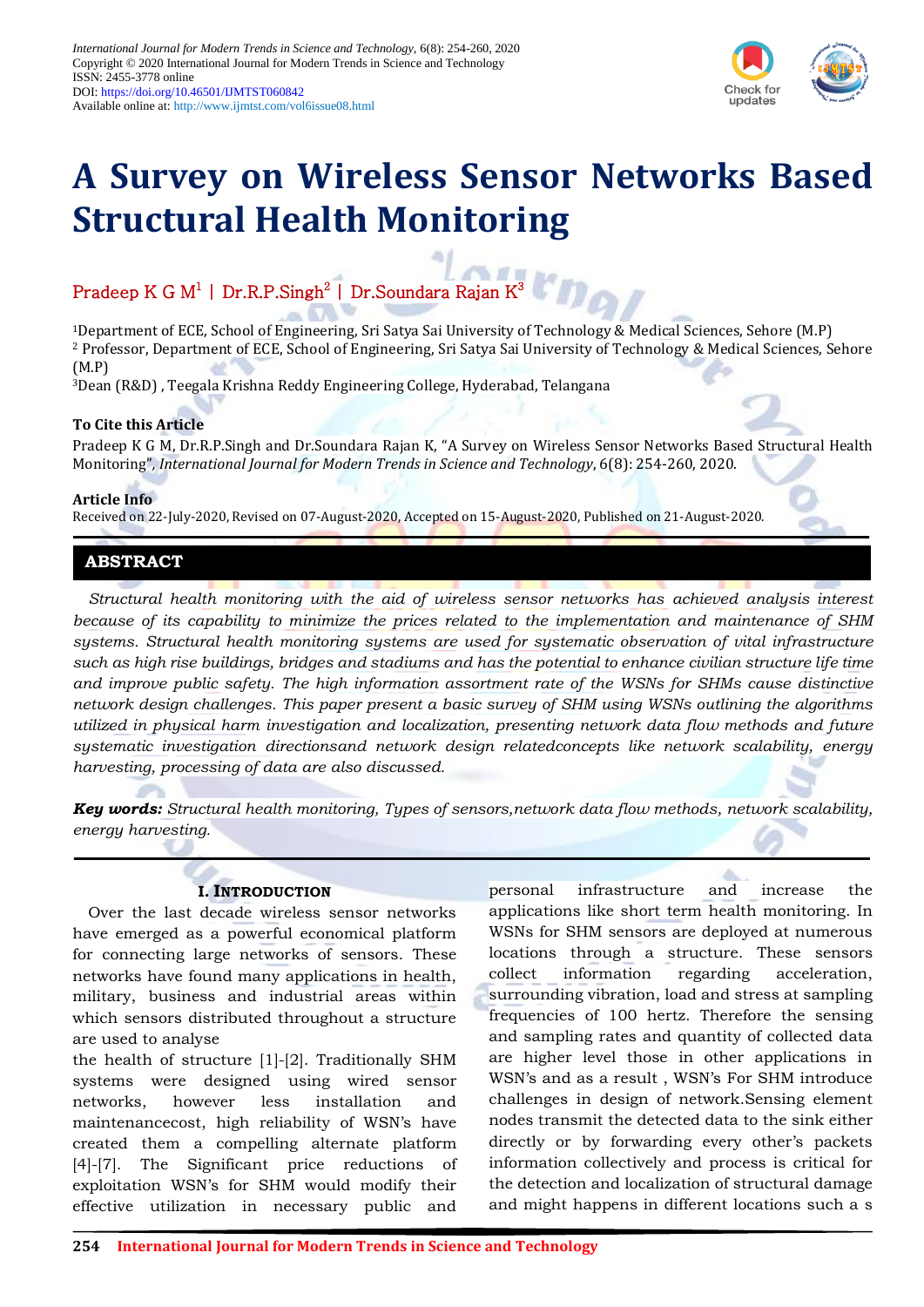

# **A Survey on Wireless Sensor Networks Based Structural Health Monitoring**

# Pradeep K G M $^1$  | Dr.R.P.Singh $^2$  | Dr.Soundara Rajan K $^3$

<sup>1</sup>Department of ECE, School of Engineering, Sri Satya Sai University of Technology & Medical Sciences, Sehore (M.P) <sup>2</sup> Professor, Department of ECE, School of Engineering, Sri Satya Sai University of Technology & Medical Sciences, Sehore (M.P)

<sup>3</sup>Dean (R&D) , Teegala Krishna Reddy Engineering College, Hyderabad, Telangana

# **To Cite this Article**

Pradeep K G M, Dr.R.P.Singh and Dr.Soundara Rajan K, "A Survey on Wireless Sensor Networks Based Structural Health Monitoring"*, International Journal for Modern Trends in Science and Technology*, 6(8): 254-260, 2020.

## **Article Info**

Received on 22-July-2020, Revised on 07-August-2020, Accepted on 15-August-2020, Published on 21-August-2020.

# **ABSTRACT**

*Structural health monitoring with the aid of wireless sensor networks has achieved analysis interest because of its capability to minimize the prices related to the implementation and maintenance of SHM systems. Structural health monitoring systems are used for systematic observation of vital infrastructure such as high rise buildings, bridges and stadiums and has the potential to enhance civilian structure life time and improve public safety. The high information assortment rate of the WSNs for SHMs cause distinctive network design challenges. This paper present a basic survey of SHM using WSNs outlining the algorithms utilized in physical harm investigation and localization, presenting network data flow methods and future systematic investigation directionsand network design relatedconcepts like network scalability, energy harvesting, processing of data are also discussed.*

*Key words: Structural health monitoring, Types of sensors,network data flow methods, network scalability, energy harvesting.*

# **I. INTRODUCTION**

Over the last decade wireless sensor networks have emerged as a powerful economical platform for connecting large networks of sensors. These networks have found many applications in health, military, business and industrial areas within which sensors distributed throughout a structure are used to analyse

the health of structure [1]-[2]. Traditionally SHM systems were designed using wired sensor networks, however less installation and maintenancecost, high reliability of WSN"s have created them a compelling alternate platform [4]-[7]. The Significant price reductions of exploitation WSN"s for SHM would modify their effective utilization in necessary public and

personal infrastructure and increase the applications like short term health monitoring. In WSNs for SHM sensors are deployed at numerous locations through a structure. These sensors collect information regarding acceleration, surrounding vibration, load and stress at sampling frequencies of 100 hertz. Therefore the sensing and sampling rates and quantity of collected data are higher level those in other applications in WSN"s and as a result , WSN"s For SHM introduce challenges in design of network.Sensing element nodes transmit the detected data to the sink either directly or by forwarding every other's packets information collectively and process is critical for the detection and localization of structural damage and might happens in different locations such a s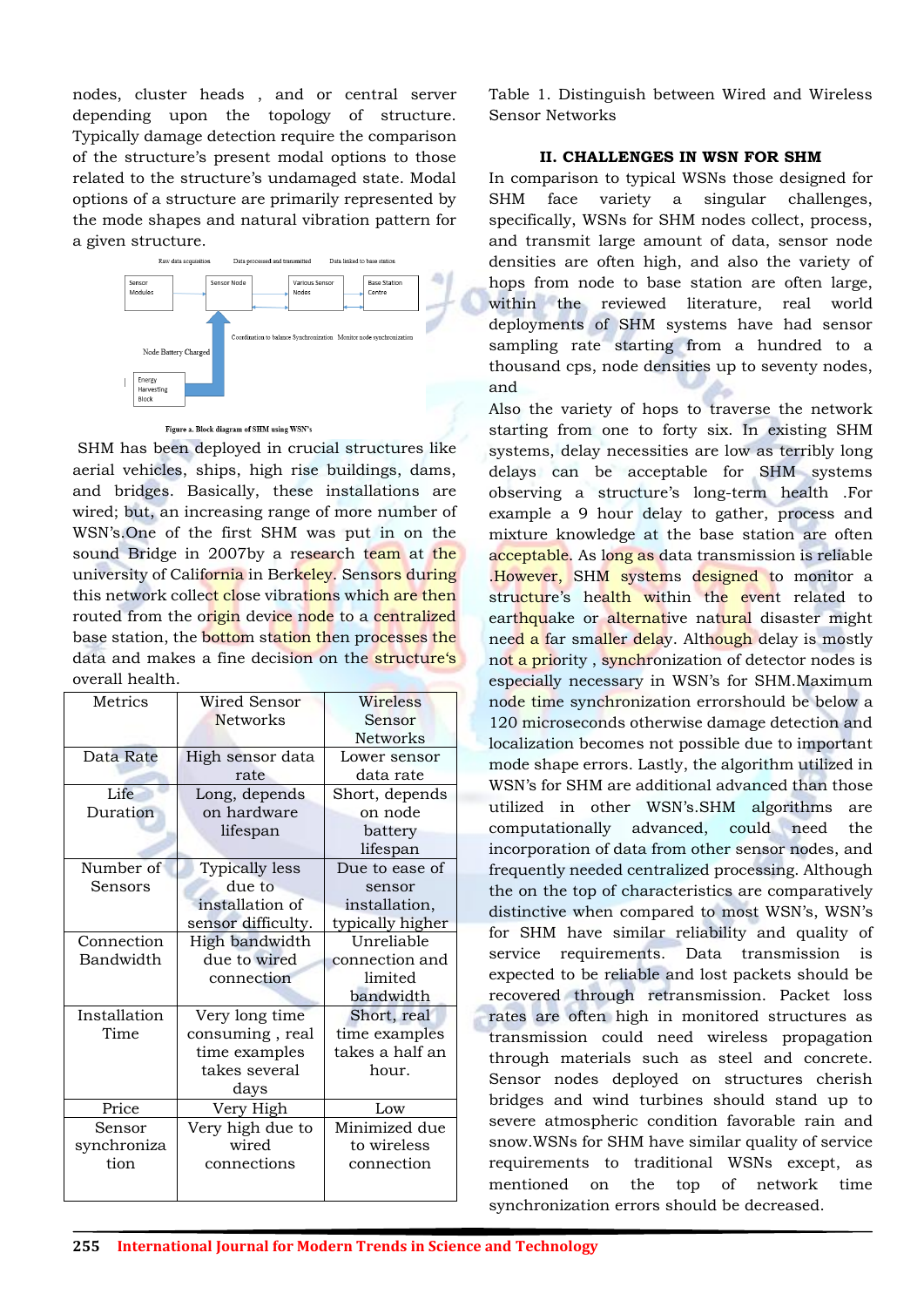nodes, cluster heads , and or central server depending upon the topology of structure. Typically damage detection require the comparison of the structure"s present modal options to those related to the structure"s undamaged state. Modal options of a structure are primarily represented by the mode shapes and natural vibration pattern for a given structure.



#### Figure a. Block diagram of SHM using WSN's

SHM has been deployed in crucial structures like aerial vehicles, ships, high rise buildings, dams, and bridges. Basically, these installations are wired; but, an increasing range of more number of WSN"s.One of the first SHM was put in on the sound Bridge in 2007by a research team at the university of California in Berkeley. Sensors during this network collect close vibrations which are then routed from the origin device node to a centralized base station, the bottom station then processes the data and makes a fine decision on the structure's overall health.

| Metrics      | Wired Sensor       | Wireless         |
|--------------|--------------------|------------------|
|              | <b>Networks</b>    | Sensor           |
|              |                    | <b>Networks</b>  |
| Data Rate    | High sensor data   | Lower sensor     |
|              | rate               | data rate        |
| Life         | Long, depends      | Short, depends   |
| Duration     | on hardware        | on node          |
|              | lifespan           | battery          |
|              |                    | lifespan         |
| Number of    | Typically less     | Due to ease of   |
| Sensors      | due to             | sensor           |
|              | installation of    | installation,    |
|              | sensor difficulty. | typically higher |
| Connection   | High bandwidth     | Unreliable       |
| Bandwidth    | due to wired       | connection and   |
|              | connection         | limited          |
|              |                    | bandwidth        |
| Installation | Very long time     | Short, real      |
| Time         | consuming, real    | time examples    |
|              | time examples      | takes a half an  |
|              | takes several      | hour.            |
|              | days               |                  |
| Price        | Very High          | Low              |
| Sensor       | Very high due to   | Minimized due    |
| synchroniza  | wired              | to wireless      |
|              |                    |                  |
| tion         | connections        | connection       |

Table 1. Distinguish between Wired and Wireless Sensor Networks

# **II. CHALLENGES IN WSN FOR SHM**

In comparison to typical WSNs those designed for SHM face variety a singular challenges, specifically, WSNs for SHM nodes collect, process, and transmit large amount of data, sensor node densities are often high, and also the variety of hops from node to base station are often large, within the reviewed literature, real world deployments of SHM systems have had sensor sampling rate starting from a hundred to a thousand cps, node densities up to seventy nodes, and

Also the variety of hops to traverse the network starting from one to forty six. In existing SHM systems, delay necessities are low as terribly long delays can be acceptable for SHM systems observing a structure"s long-term health .For example a 9 hour delay to gather, process and mixture knowledge at the base station are often acceptable. As long as data transmission is reliable .However, SHM systems designed to monitor a structure's health within the event related to earthquake or alternative natural disaster might need a far smaller delay. Although delay is mostly not a priority , synchronization of detector nodes is especially necessary in WSN"s for SHM.Maximum node time synchronization errorshould be below a 120 microseconds otherwise damage detection and localization becomes not possible due to important mode shape errors. Lastly, the algorithm utilized in WSN"s for SHM are additional advanced than those utilized in other WSN"s.SHM algorithms are computationally advanced, could need the incorporation of data from other sensor nodes, and frequently needed centralized processing. Although the on the top of characteristics are comparatively distinctive when compared to most WSN"s, WSN"s for SHM have similar reliability and quality of service requirements. Data transmission is expected to be reliable and lost packets should be recovered through retransmission. Packet loss rates are often high in monitored structures as transmission could need wireless propagation through materials such as steel and concrete. Sensor nodes deployed on structures cherish bridges and wind turbines should stand up to severe atmospheric condition favorable rain and snow.WSNs for SHM have similar quality of service requirements to traditional WSNs except, as mentioned on the top of network time synchronization errors should be decreased.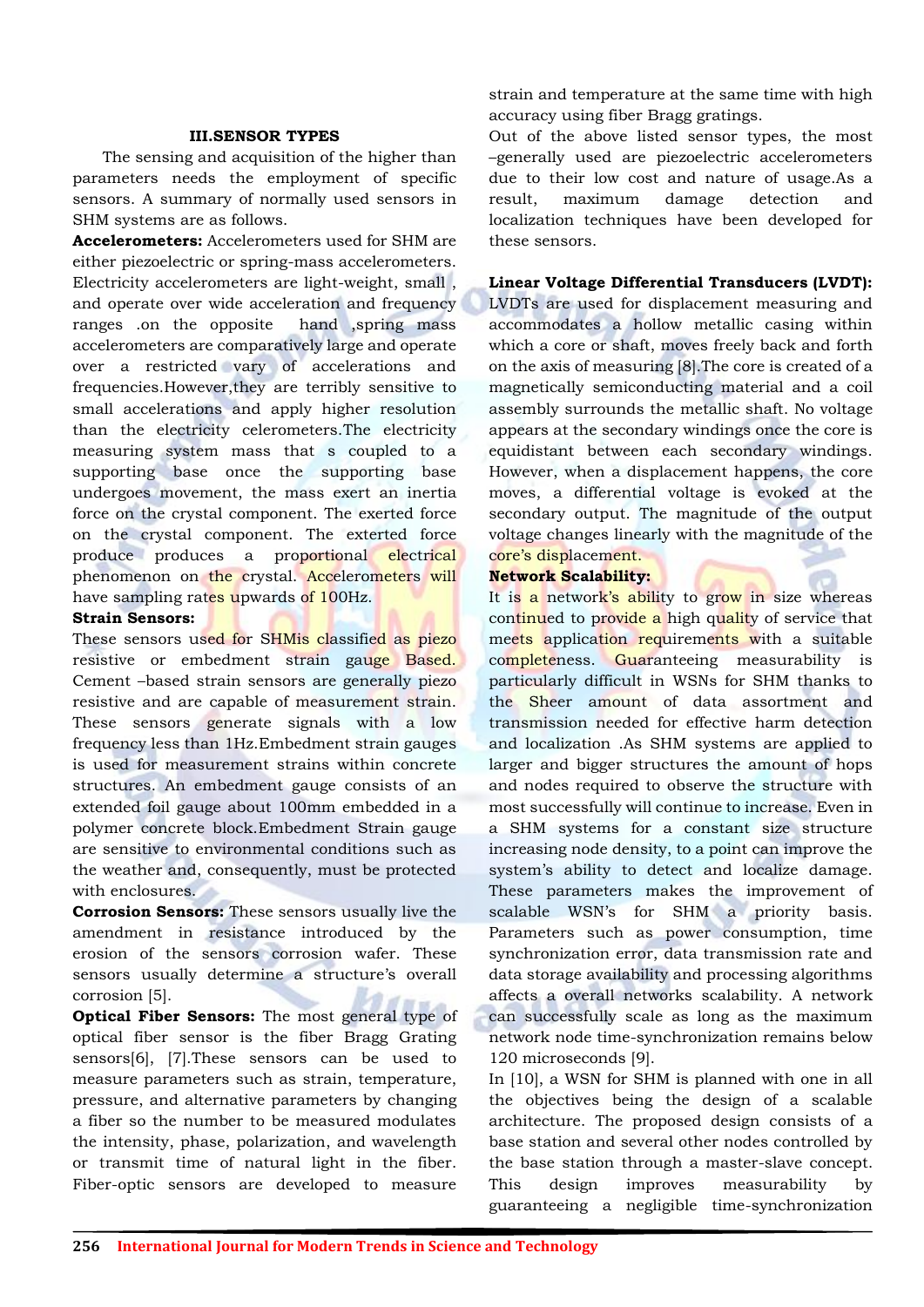## **III.SENSOR TYPES**

The sensing and acquisition of the higher than parameters needs the employment of specific sensors. A summary of normally used sensors in SHM systems are as follows.

**Accelerometers:** Accelerometers used for SHM are either piezoelectric or spring-mass accelerometers. Electricity accelerometers are light-weight, small , and operate over wide acceleration and frequency ranges .on the opposite hand ,spring mass accelerometers are comparatively large and operate over a restricted vary of accelerations and frequencies.However,they are terribly sensitive to small accelerations and apply higher resolution than the electricity celerometers.The electricity measuring system mass that s coupled to a supporting base once the supporting base undergoes movement, the mass exert an inertia force on the crystal component. The exerted force on the crystal component. The exterted force produce produces a proportional electrical phenomenon on the crystal. Accelerometers will have sampling rates upwards of 100Hz.

#### **Strain Sensors:**

These sensors used for SHMis classified as piezo resistive or embedment strain gauge Based. Cement –based strain sensors are generally piezo resistive and are capable of measurement strain. These sensors generate signals with a low frequency less than 1Hz.Embedment strain gauges is used for measurement strains within concrete structures. An embedment gauge consists of an extended foil gauge about 100mm embedded in a polymer concrete block.Embedment Strain gauge are sensitive to environmental conditions such as the weather and, consequently, must be protected with enclosures.

**Corrosion Sensors:** These sensors usually live the amendment in resistance introduced by the erosion of the sensors corrosion wafer. These sensors usually determine a structure's overall corrosion [5].

**Optical Fiber Sensors:** The most general type of optical fiber sensor is the fiber Bragg Grating sensors[6], [7].These sensors can be used to measure parameters such as strain, temperature, pressure, and alternative parameters by changing a fiber so the number to be measured modulates the intensity, phase, polarization, and wavelength or transmit time of natural light in the fiber. Fiber-optic sensors are developed to measure

strain and temperature at the same time with high accuracy using fiber Bragg gratings.

Out of the above listed sensor types, the most –generally used are piezoelectric accelerometers due to their low cost and nature of usage.As a result, maximum damage detection and localization techniques have been developed for these sensors.

# **Linear Voltage Differential Transducers (LVDT):**

LVDTs are used for displacement measuring and accommodates a hollow metallic casing within which a core or shaft, moves freely back and forth on the axis of measuring [8].The core is created of a magnetically semiconducting material and a coil assembly surrounds the metallic shaft. No voltage appears at the secondary windings once the core is equidistant between each secondary windings. However, when a displacement happens, the core moves, a differential voltage is evoked at the secondary output. The magnitude of the output voltage changes linearly with the magnitude of the core"s displacement.

# **Network Scalability:**

It is a network's ability to grow in size whereas continued to provide a high quality of service that meets application requirements with a suitable completeness. Guaranteeing measurability is particularly difficult in WSNs for SHM thanks to the Sheer amount of data assortment and transmission needed for effective harm detection and localization .As SHM systems are applied to larger and bigger structures the amount of hops and nodes required to observe the structure with most successfully will continue to increase. Even in a SHM systems for a constant size structure increasing node density, to a point can improve the system"s ability to detect and localize damage. These parameters makes the improvement of scalable WSN"s for SHM a priority basis. Parameters such as power consumption, time synchronization error, data transmission rate and data storage availability and processing algorithms affects a overall networks scalability. A network can successfully scale as long as the maximum network node time-synchronization remains below 120 microseconds [9].

In [10], a WSN for SHM is planned with one in all the objectives being the design of a scalable architecture. The proposed design consists of a base station and several other nodes controlled by the base station through a master-slave concept. This design improves measurability by guaranteeing a negligible time-synchronization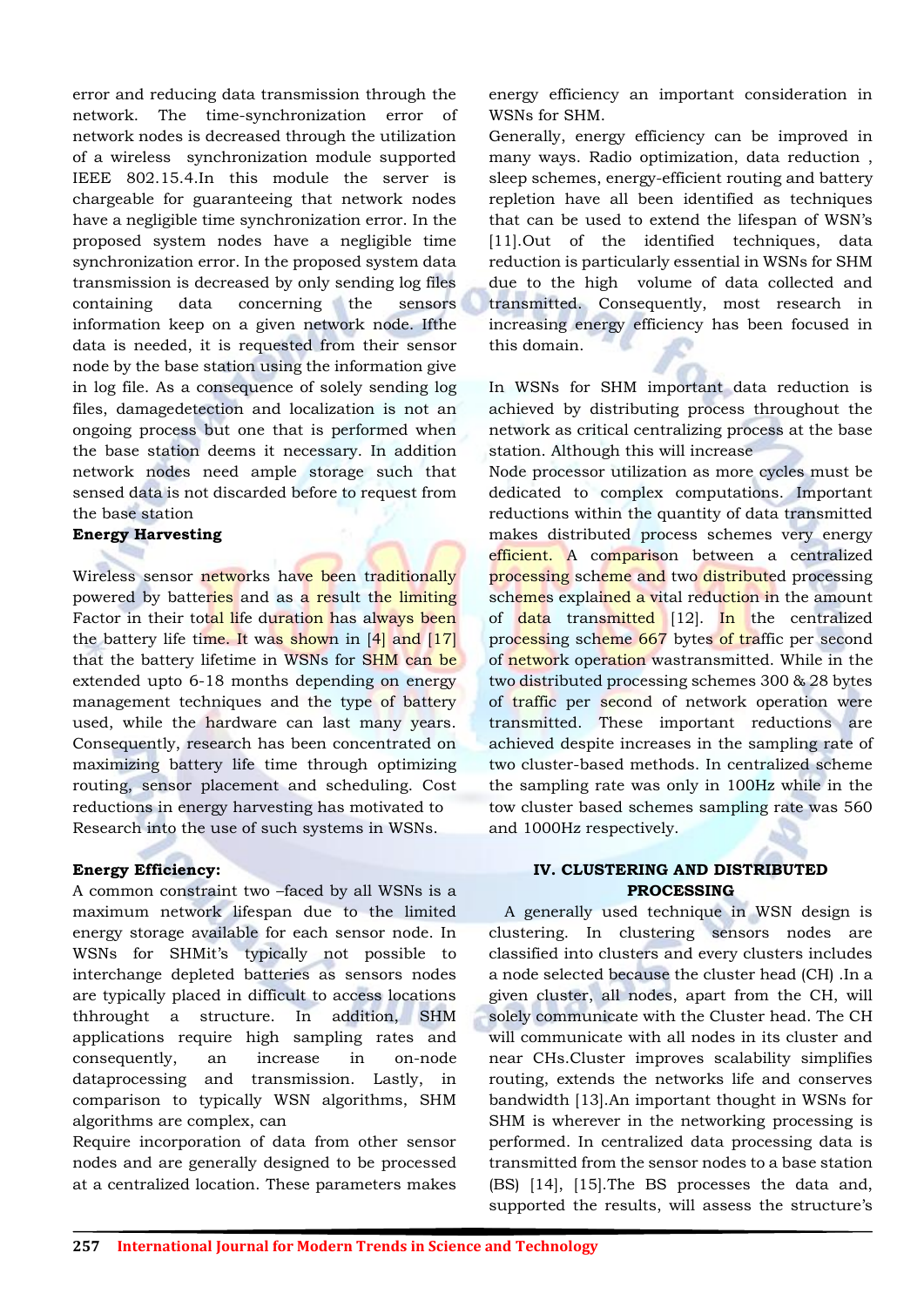error and reducing data transmission through the network. The time-synchronization error of network nodes is decreased through the utilization of a wireless synchronization module supported IEEE 802.15.4.In this module the server is chargeable for guaranteeing that network nodes have a negligible time synchronization error. In the proposed system nodes have a negligible time synchronization error. In the proposed system data transmission is decreased by only sending log files containing data concerning the sensors information keep on a given network node. Ifthe data is needed, it is requested from their sensor node by the base station using the information give in log file. As a consequence of solely sending log files, damagedetection and localization is not an ongoing process but one that is performed when the base station deems it necessary. In addition network nodes need ample storage such that sensed data is not discarded before to request from the base station

#### **Energy Harvesting**

Wireless sensor networks have been traditionally powered by batteries and as a result the limiting Factor in their total life duration has always been the battery life time. It was shown in  $[4]$  and  $[17]$ that the battery lifetime in WSNs for SHM can be extended upto 6-18 months depending on energy management techniques and the type of battery used, while the hardware can last many years. Consequently, research has been concentrated on maximizing battery life time through optimizing routing, sensor placement and scheduling. Cost reductions in energy harvesting has motivated to Research into the use of such systems in WSNs.

#### **Energy Efficiency:**

A common constraint two –faced by all WSNs is a maximum network lifespan due to the limited energy storage available for each sensor node. In WSNs for SHMit"s typically not possible to interchange depleted batteries as sensors nodes are typically placed in difficult to access locations thhrought a structure. In addition, SHM applications require high sampling rates and consequently, an increase in on-node dataprocessing and transmission. Lastly, in comparison to typically WSN algorithms, SHM algorithms are complex, can

Require incorporation of data from other sensor nodes and are generally designed to be processed at a centralized location. These parameters makes

energy efficiency an important consideration in WSNs for SHM.

Generally, energy efficiency can be improved in many ways. Radio optimization, data reduction , sleep schemes, energy-efficient routing and battery repletion have all been identified as techniques that can be used to extend the lifespan of WSN"s [11].Out of the identified techniques, data reduction is particularly essential in WSNs for SHM due to the high volume of data collected and transmitted. Consequently, most research in increasing energy efficiency has been focused in this domain.

In WSNs for SHM important data reduction is achieved by distributing process throughout the network as critical centralizing process at the base station. Although this will increase

Node processor utilization as more cycles must be dedicated to complex computations. Important reductions within the quantity of data transmitted makes distributed process schemes very energy efficient. A comparison between a centralized processing scheme and two distributed processing schemes explained a vital reduction in the amount of data transmitted  $[12]$ . In the centralized processing scheme 667 bytes of traffic per second of network operation wastransmitted. While in the two distributed processing schemes 300 & 28 bytes of traffic per second of network operation were transmitted. These important reductions are achieved despite increases in the sampling rate of two cluster-based methods. In centralized scheme the sampling rate was only in 100Hz while in the tow cluster based schemes sampling rate was 560 and 1000Hz respectively.

# **IV. CLUSTERING AND DISTRIBUTED PROCESSING**

A generally used technique in WSN design is clustering. In clustering sensors nodes are classified into clusters and every clusters includes a node selected because the cluster head (CH) .In a given cluster, all nodes, apart from the CH, will solely communicate with the Cluster head. The CH will communicate with all nodes in its cluster and near CHs.Cluster improves scalability simplifies routing, extends the networks life and conserves bandwidth [13].An important thought in WSNs for SHM is wherever in the networking processing is performed. In centralized data processing data is transmitted from the sensor nodes to a base station (BS) [14], [15].The BS processes the data and, supported the results, will assess the structure's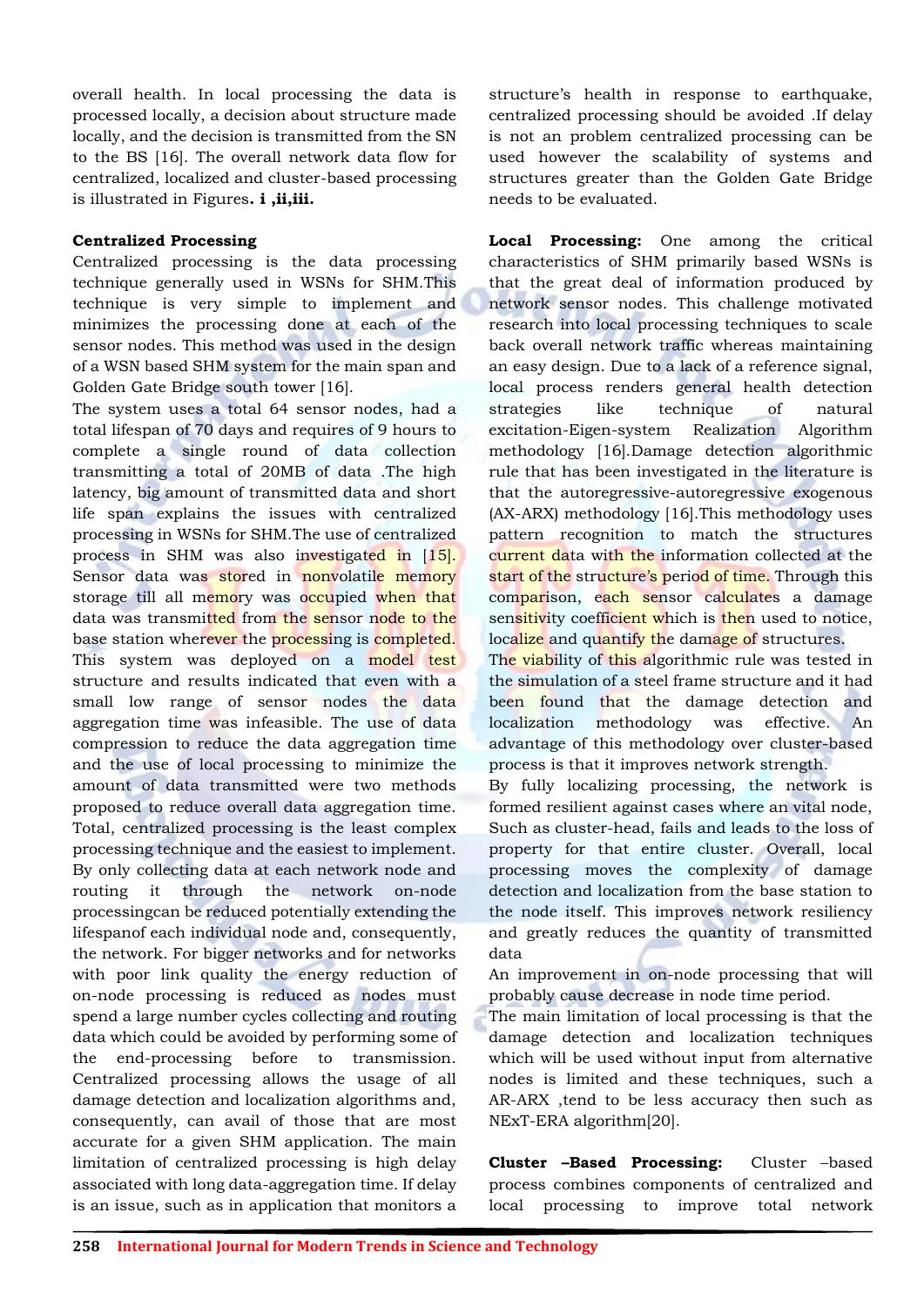overall health. In local processing the data is processed locally, a decision about structure made locally, and the decision is transmitted from the SN to the BS [16]. The overall network data flow for centralized, localized and cluster-based processing is illustrated in Figures**. i ,ii,iii.**

# **Centralized Processing**

Centralized processing is the data processing technique generally used in WSNs for SHM.This technique is very simple to implement and minimizes the processing done at each of the sensor nodes. This method was used in the design of a WSN based SHM system for the main span and Golden Gate Bridge south tower [16].

The system uses a total 64 sensor nodes, had a total lifespan of 70 days and requires of 9 hours to complete a single round of data collection transmitting a total of 20MB of data .The high latency, big amount of transmitted data and short life span explains the issues with centralized processing in WSNs for SHM.The use of centralized process in SHM was also investigated in [15]. Sensor data was stored in nonvolatile memory storage till all memory was occupied when that data was transmitted from the sensor node to the base station wherever the processing is completed. This system was deployed on a model test structure and results indicated that even with a small low range of sensor nodes the data aggregation time was infeasible. The use of data compression to reduce the data aggregation time and the use of local processing to minimize the amount of data transmitted were two methods proposed to reduce overall data aggregation time. Total, centralized processing is the least complex processing technique and the easiest to implement. By only collecting data at each network node and routing it through the network on-node processingcan be reduced potentially extending the lifespanof each individual node and, consequently, the network. For bigger networks and for networks with poor link quality the energy reduction of on-node processing is reduced as nodes must spend a large number cycles collecting and routing data which could be avoided by performing some of the end-processing before to transmission. Centralized processing allows the usage of all damage detection and localization algorithms and, consequently, can avail of those that are most accurate for a given SHM application. The main limitation of centralized processing is high delay associated with long data-aggregation time. If delay is an issue, such as in application that monitors a

structure"s health in response to earthquake, centralized processing should be avoided .If delay is not an problem centralized processing can be used however the scalability of systems and structures greater than the Golden Gate Bridge needs to be evaluated.

**Local Processing:** One among the critical characteristics of SHM primarily based WSNs is that the great deal of information produced by network sensor nodes. This challenge motivated research into local processing techniques to scale back overall network traffic whereas maintaining an easy design. Due to a lack of a reference signal, local process renders general health detection strategies like technique of natural excitation-Eigen-system Realization Algorithm methodology [16].Damage detection algorithmic rule that has been investigated in the literature is that the autoregressive-autoregressive exogenous (AX-ARX) methodology [16].This methodology uses pattern recognition to match the structures current data with the information collected at the start of the structure's period of time. Through this comparison, each sensor calculates a damage sensitivity coefficient which is then used to notice, localize and quantify the damage of structures.

The viability of this algorithmic rule was tested in the simulation of a steel frame structure and it had been found that the damage detection and localization methodology was effective. An advantage of this methodology over cluster-based process is that it improves network strength.

By fully localizing processing, the network is formed resilient against cases where an vital node, Such as cluster-head, fails and leads to the loss of property for that entire cluster. Overall, local processing moves the complexity of damage detection and localization from the base station to the node itself. This improves network resiliency and greatly reduces the quantity of transmitted data

An improvement in on-node processing that will probably cause decrease in node time period.

The main limitation of local processing is that the damage detection and localization techniques which will be used without input from alternative nodes is limited and these techniques, such a AR-ARX ,tend to be less accuracy then such as NExT-ERA algorithm[20].

**Cluster –Based Processing:** Cluster –based process combines components of centralized and local processing to improve total network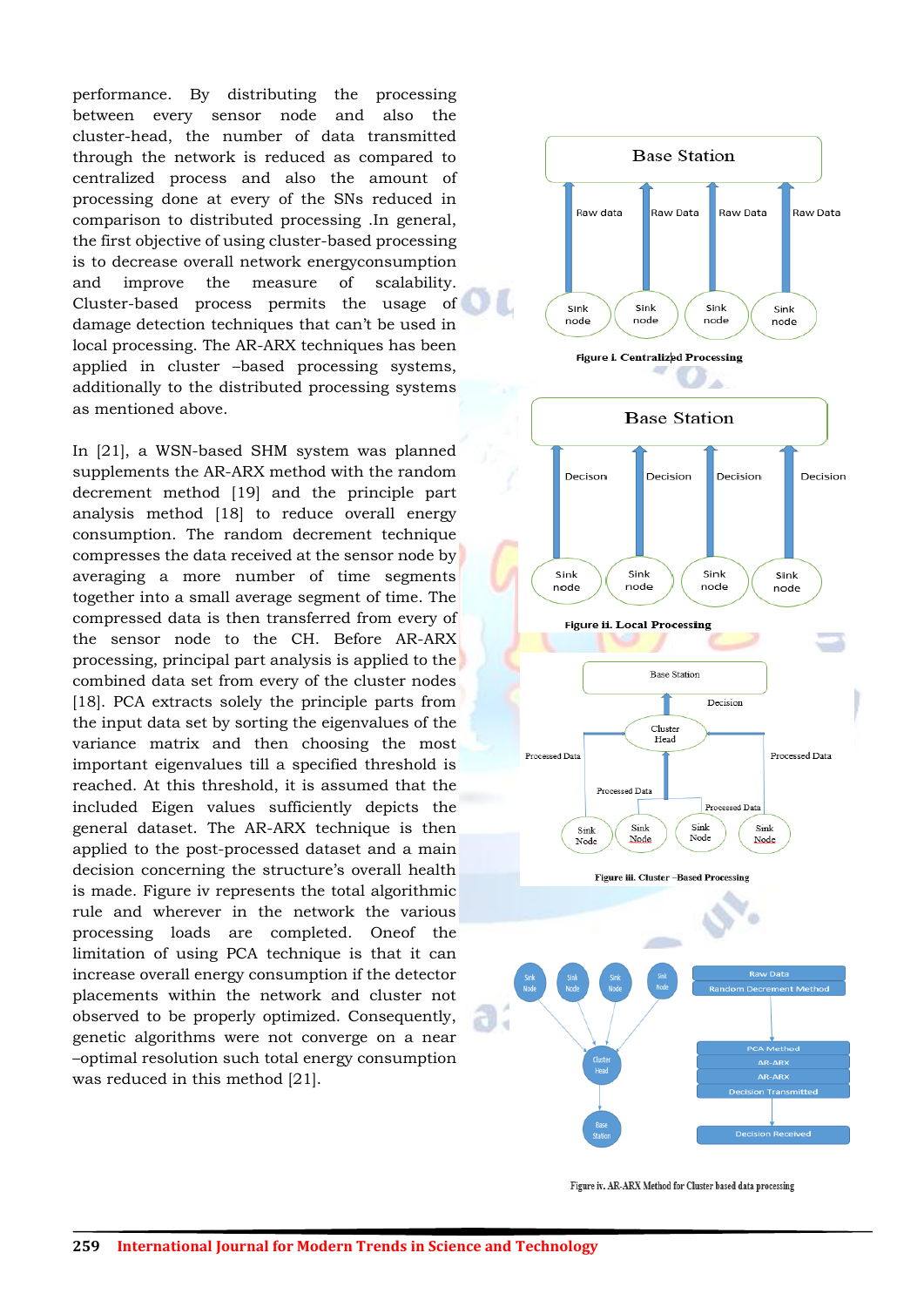performance. By distributing the processing between every sensor node and also the cluster-head, the number of data transmitted through the network is reduced as compared to centralized process and also the amount of processing done at every of the SNs reduced in comparison to distributed processing .In general, the first objective of using cluster-based processing is to decrease overall network energyconsumption and improve the measure of scalability. Cluster-based process permits the usage of damage detection techniques that can"t be used in local processing. The AR-ARX techniques has been applied in cluster –based processing systems, additionally to the distributed processing systems as mentioned above.

In [21], a WSN-based SHM system was planned supplements the AR-ARX method with the random decrement method [19] and the principle part analysis method [18] to reduce overall energy consumption. The random decrement technique compresses the data received at the sensor node by averaging a more number of time segments together into a small average segment of time. The compressed data is then transferred from every of the sensor node to the CH. Before AR-ARX processing, principal part analysis is applied to the combined data set from every of the cluster nodes [18]. PCA extracts solely the principle parts from the input data set by sorting the eigenvalues of the variance matrix and then choosing the most important eigenvalues till a specified threshold is reached. At this threshold, it is assumed that the included Eigen values sufficiently depicts the general dataset. The AR-ARX technique is then applied to the post-processed dataset and a main decision concerning the structure's overall health is made. Figure iv represents the total algorithmic rule and wherever in the network the various processing loads are completed. Oneof the limitation of using PCA technique is that it can increase overall energy consumption if the detector placements within the network and cluster not observed to be properly optimized. Consequently, genetic algorithms were not converge on a near –optimal resolution such total energy consumption was reduced in this method [21].



Figure iv. AR-ARX Method for Cluster based data processing